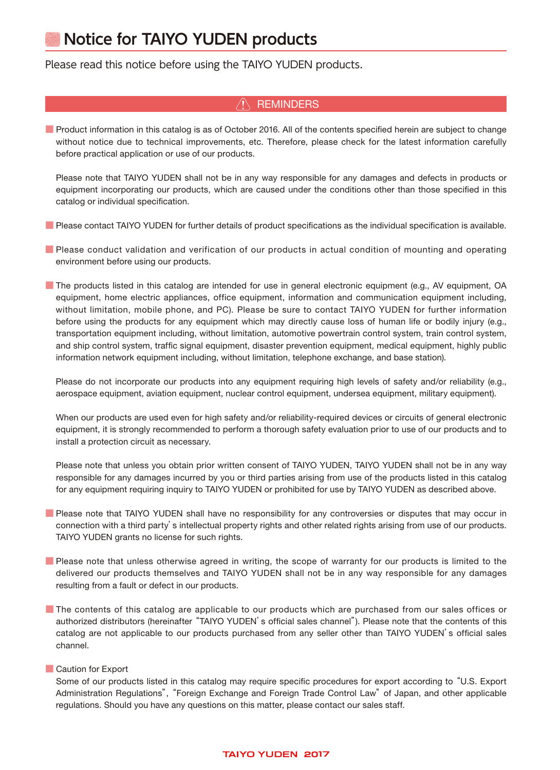# **Notice for TAIYO YUDEN products**

### Please read this notice before using the TAIYO YUDEN products.

### **REMINDERS**

■ Product information in this catalog is as of October 2016. All of the contents specified herein are subject to change without notice due to technical improvements, etc. Therefore, please check for the latest information carefully before practical application or use of our products.

 Please note that TAIYO YUDEN shall not be in any way responsible for any damages and defects in products or equipment incorporating our products, which are caused under the conditions other than those specified in this catalog or individual specification.

■ Please contact TAIYO YUDEN for further details of product specifications as the individual specification is available.

- Please conduct validation and verification of our products in actual condition of mounting and operating environment before using our products.
- The products listed in this catalog are intended for use in general electronic equipment (e.g., AV equipment, OA equipment, home electric appliances, office equipment, information and communication equipment including, without limitation, mobile phone, and PC). Please be sure to contact TAIYO YUDEN for further information before using the products for any equipment which may directly cause loss of human life or bodily injury (e.g., transportation equipment including, without limitation, automotive powertrain control system, train control system, and ship control system, traffic signal equipment, disaster prevention equipment, medical equipment, highly public information network equipment including, without limitation, telephone exchange, and base station).

Please do not incorporate our products into any equipment requiring high levels of safety and/or reliability (e.g., aerospace equipment, aviation equipment, nuclear control equipment, undersea equipment, military equipment).

When our products are used even for high safety and/or reliability-required devices or circuits of general electronic equipment, it is strongly recommended to perform a thorough safety evaluation prior to use of our products and to install a protection circuit as necessary.

Please note that unless you obtain prior written consent of TAIYO YUDEN, TAIYO YUDEN shall not be in any way responsible for any damages incurred by you or third parties arising from use of the products listed in this catalog for any equipment requiring inquiry to TAIYO YUDEN or prohibited for use by TAIYO YUDEN as described above.

- Please note that TAIYO YUDEN shall have no responsibility for any controversies or disputes that may occur in connection with a third party's intellectual property rights and other related rights arising from use of our products. TAIYO YUDEN grants no license for such rights.
- Please note that unless otherwise agreed in writing, the scope of warranty for our products is limited to the delivered our products themselves and TAIYO YUDEN shall not be in any way responsible for any damages resulting from a fault or defect in our products.
- The contents of this catalog are applicable to our products which are purchased from our sales offices or authorized distributors (hereinafter "TAIYO YUDEN's official sales channel"). Please note that the contents of this catalog are not applicable to our products purchased from any seller other than TAIYO YUDEN's official sales channel.

### ■ Caution for Export

 Some of our products listed in this catalog may require specific procedures for export according to "U.S. Export Administration Regulations", "Foreign Exchange and Foreign Trade Control Law" of Japan, and other applicable regulations. Should you have any questions on this matter, please contact our sales staff.

### **TAIYO YUDEN 2017**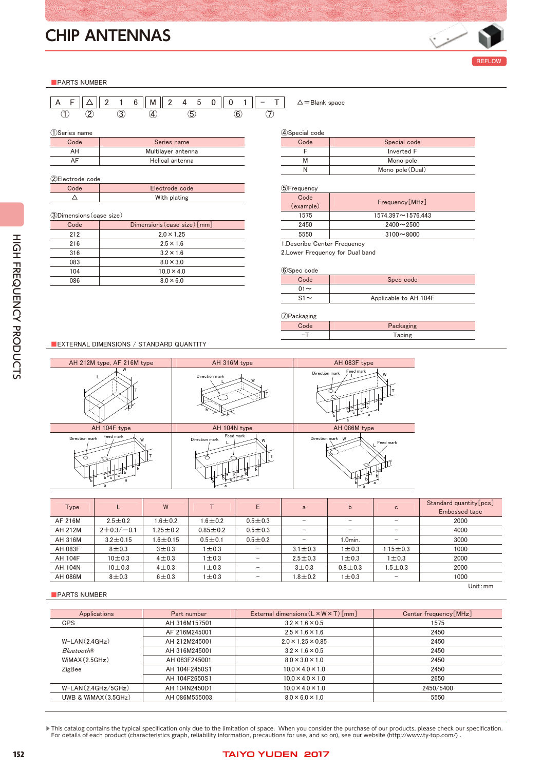

chipantenna\_e-E05R01

### ■PARTS NUMBER

|  |  |  | IA FII∆II2 1 6 IIMII2 4 5 0    0 1 |  |  |  |  |  |
|--|--|--|------------------------------------|--|--|--|--|--|
|  |  |  |                                    |  |  |  |  |  |

①Series name

| $\cdots$ |                    |
|----------|--------------------|
| Code     | Series name        |
| АΗ       | Multilayer antenna |
| ΔF       | Helical antenna    |

②Electrode code Code Electrode code  $\Delta$  With plating

### ③Dimensions(case size)

| Code | Dimensions (case size) [mm] |
|------|-----------------------------|
| 212  | $2.0 \times 1.25$           |
| 216  | $2.5 \times 1.6$            |
| 316  | $3.2 \times 1.6$            |
| 083  | $8.0 \times 3.0$            |
| 104  | $10.0 \times 4.0$           |
| 086  | $8.0 \times 6.0$            |
|      |                             |

### $\triangle =$ Blank space

### ④Special code

| Code | Special code     |
|------|------------------|
|      | Inverted F       |
| м    | Mono pole        |
|      | Mono pole (Dual) |

### ⑤Frequency

| $\sqrt{2}$ , $\sqrt{2}$ , $\sqrt{2}$ |                          |
|--------------------------------------|--------------------------|
| Code<br>(example)                    | Frequency [MHz]          |
| 1575                                 | $1574.397 \sim 1576.443$ |
| 2450                                 | $2400 - 2500$            |
| 5550                                 | $3100 - 8000$            |
|                                      |                          |

1.Describe Center Frequency 2.Lower Frequency for Dual band

| 6Spec code |                       |
|------------|-----------------------|
| Code       | Spec code             |
| $01 \sim$  |                       |
| $S1 \sim$  | Applicable to AH 104F |

### $\bigcap_{n=1}^{\infty} P_n$

| $U$ aunaging |           |
|--------------|-----------|
|              | Packaging |
| -            | Taping    |
|              |           |

### ■EXTERNAL DIMENSIONS / STANDARD QUANTITY



| Type           |                  | W              |                | E                        | a             | b                        | C                        | Standard quantity [pcs]<br><b>Embossed tape</b> |
|----------------|------------------|----------------|----------------|--------------------------|---------------|--------------------------|--------------------------|-------------------------------------------------|
| AF 216M        | $2.5 \pm 0.2$    | $1.6 \pm 0.2$  | $1.6 \pm 0.2$  | $0.5 + 0.3$              | -             | $\overline{\phantom{0}}$ | -                        | 2000                                            |
| AH 212M        | $2 + 0.3 / -0.1$ | $1.25 \pm 0.2$ | $0.85 \pm 0.2$ | $0.5 + 0.3$              |               | $\overline{\phantom{0}}$ | -                        | 4000                                            |
| AH 316M        | $3.2 \pm 0.15$   | 1.6 $\pm$ 0.15 | $0.5 + 0.1$    | $0.5 + 0.2$              |               | .0min.                   |                          | 3000                                            |
| AH 083F        | $8 + 0.3$        | $3 + 0.3$      | 1 ± 0.3        |                          | $3.1 \pm 0.3$ | $1\pm0.3$                | 1.15 $\pm$ 0.3           | 1000                                            |
| AH 104F        | $10 + 0.3$       | $4 + 0.3$      | $1\pm0.3$      | -                        | $2.5 \pm 0.3$ | $1\pm0.3$                | 1 ± 0.3                  | 2000                                            |
| AH 104N        | $10 + 0.3$       | $4\pm0.3$      | $1\pm0.3$      | $\overline{\phantom{0}}$ | $3 + 0.3$     | $0.8 + 0.3$              | 1.5 $\pm$ 0.3            | 2000                                            |
| <b>AH 086M</b> | $8\pm0.3$        | $6 \pm 0.3$    | $1\pm0.3$      | $\overline{\phantom{0}}$ | $1.8 \pm 0.2$ | $1\pm0.3$                | $\overline{\phantom{a}}$ | 1000                                            |
|                |                  |                |                |                          |               |                          |                          | $\mathsf{Unit} \cdot \mathsf{mm}$               |

### ■PARTS NUMBER

| Applications            | Part number   | External dimensions $(L \times W \times T)$ [mm] | Center frequency [MHz] |
|-------------------------|---------------|--------------------------------------------------|------------------------|
| <b>GPS</b>              | AH 316M157501 | $3.2 \times 1.6 \times 0.5$                      | 1575                   |
|                         | AF 216M245001 | $2.5 \times 1.6 \times 1.6$                      | 2450                   |
| $W-LAN(2.4GHz)$         | AH 212M245001 | $2.0 \times 1.25 \times 0.85$                    | 2450                   |
| <b>BluetoothR</b>       | AH 316M245001 | $3.2 \times 1.6 \times 0.5$                      | 2450                   |
| WIMAX(2.5GHz)           | AH 083F245001 | $8.0 \times 3.0 \times 1.0$                      | 2450                   |
| ZigBee                  | AH 104F2450S1 | $10.0 \times 4.0 \times 1.0$                     | 2450                   |
|                         | AH 104F2650S1 | $10.0 \times 4.0 \times 1.0$                     | 2650                   |
| $W-LAN(2.4GHz/5GHz)$    | AH 104N2450D1 | $10.0 \times 4.0 \times 1.0$                     | 2450/5400              |
| UWB & WiMAX $(3.5$ GHz) | AH 086M555003 | $8.0 \times 6.0 \times 1.0$                      | 5550                   |

▶ This catalog contains the typical specification only due to the limitation of space. When you consider the purchase of our products, please check our specification. For details of each product (characteristics graph, reliability information, precautions for use, and so on), see our website (http://www.ty-top.com/) .

### 152 **152** 152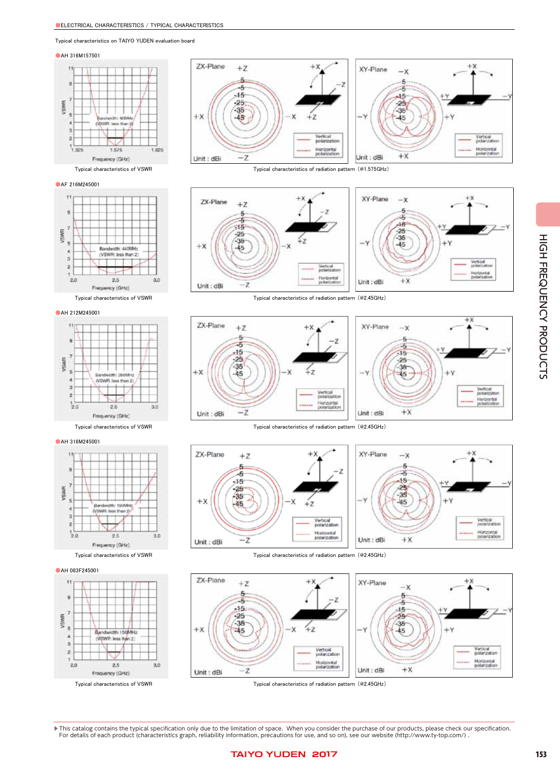### Typical characteristics on TAIYO YUDEN evaluation board

### ●AH 316M157501





### ●AF 216M245001





●AH 212M245001



### ●AH 316M245001



### ●AH 083F245001





Typical characteristics of VSWR Typical characteristics of radiation pattern (@1.575GHz)





Typical characteristics of VSWR Typical characteristics of radiation pattern (@2.45GHz)













Typical characteristics of VSWR Typical characteristics of radiation pattern (@2.45GHz)

▶ This catalog contains the typical specification only due to the limitation of space. When you consider the purchase of our products, please check our specification. For details of each product (characteristics graph, reliability information, precautions for use, and so on), see our website (http://www.ty-top.com/) .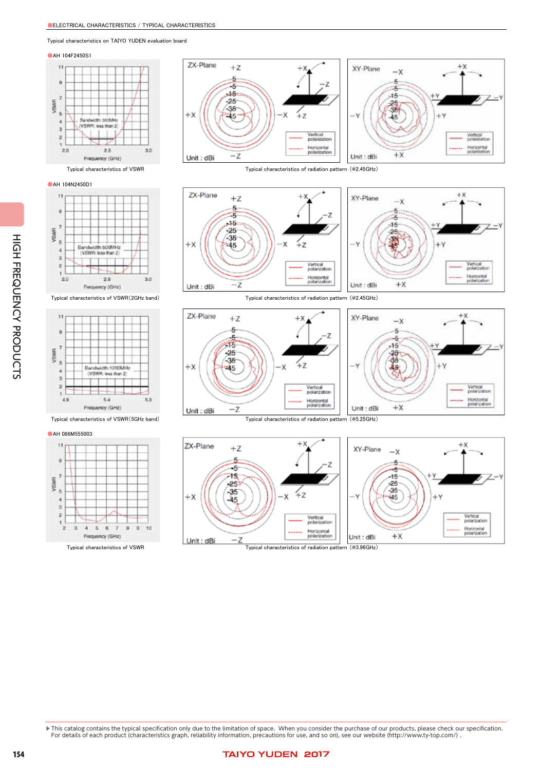Typical characteristics on TAIYO YUDEN evaluation board

### **AH 104F2450S1**





### **•AH 104N2450D1**





### ●AH 086M555003



ZX-Plane  $+Z$  $+x$ XY-Plane  $-x$ 5 F. -5 1É  $.15 -15$  $-25$  $-25$ -38 -38 ≨z  $+x$ ٠X  $4.3$ 45 45 Vertical polarizatio Horizontal Horizontal<br>polarization polarization  $+<sup>x</sup>$  $-z$  $Unit : dBi$ Unit : dBi

Typical characteristics of VSWR Typical characteristics of radiation pattern (@2.45GHz)













▶ This catalog contains the typical specification only due to the limitation of space. When you consider the purchase of our products, please check our specification. For details of each product (characteristics graph, reliability information, precautions for use, and so on), see our website (http://www.ty-top.com/) .

HIGH FREQUENCY PRODUCTS HIGH FREQUENCY PRODUCTS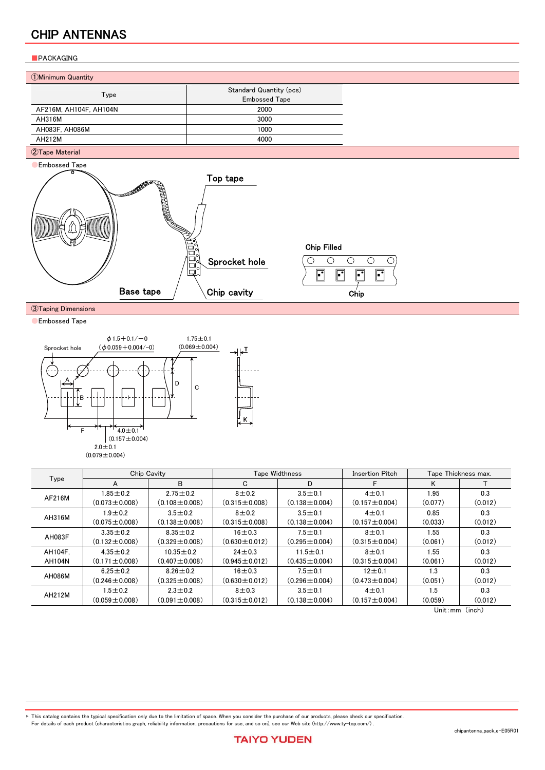### ■PACKAGING

| 1. Minimum Quantity |  |
|---------------------|--|
|---------------------|--|

|                        | Standard Quantity (pcs) |  |  |
|------------------------|-------------------------|--|--|
| Type                   | <b>Embossed Tape</b>    |  |  |
| AF216M, AH104F, AH104N | 2000                    |  |  |
| AH316M                 | 3000                    |  |  |
| AH083F. AH086M         | 1000                    |  |  |
| AH212M                 | 4000                    |  |  |

### ②Tape Material



③Taping Dimensions

**CEmbossed Tape** 



| Type    |                     | Chip Cavity         |                     | <b>Tape Widthness</b> | Insertion Pitch     | Tape Thickness max. |         |
|---------|---------------------|---------------------|---------------------|-----------------------|---------------------|---------------------|---------|
|         | A                   | B                   | C                   | D                     | F                   | K                   |         |
|         | $1.85 \pm 0.2$      | $2.75 \pm 0.2$      | $8 + 0.2$           | $3.5 \pm 0.1$         | $4 + 0.1$           | 1.95                | 0.3     |
| AF216M  | $(0.073 \pm 0.008)$ | $(0.108 \pm 0.008)$ | $(0.315 \pm 0.008)$ | $(0.138 \pm 0.004)$   | $(0.157 \pm 0.004)$ | (0.077)             | (0.012) |
|         | $1.9 \pm 0.2$       | $3.5 \pm 0.2$       | $8\pm0.2$           | $3.5 \pm 0.1$         | $4 + 0.1$           | 0.85                | 0.3     |
| AH316M  | $(0.075 \pm 0.008)$ | $(0.138 \pm 0.008)$ | $(0.315 \pm 0.008)$ | $(0.138 \pm 0.004)$   | $(0.157 \pm 0.004)$ | (0.033)             | (0.012) |
| AH083F  | $3.35 \pm 0.2$      | $8.35 \pm 0.2$      | $16 + 0.3$          | $7.5 \pm 0.1$         | $8 + 0.1$           | 1.55                | 0.3     |
|         | $(0.132 \pm 0.008)$ | $(0.329 \pm 0.008)$ | $(0.630 \pm 0.012)$ | $(0.295 \pm 0.004)$   | $(0.315 \pm 0.004)$ | (0.061)             | (0.012) |
| AH104F. | $4.35 \pm 0.2$      | $10.35 \pm 0.2$     | $24 + 0.3$          | $11.5 \pm 0.1$        | $8 + 0.1$           | 1.55                | 0.3     |
| AH104N  | $(0.171 \pm 0.008)$ | $(0.407 \pm 0.008)$ | $(0.945 \pm 0.012)$ | $(0.435 \pm 0.004)$   | $(0.315 \pm 0.004)$ | (0.061)             | (0.012) |
| AH086M  | $6.25 \pm 0.2$      | $8.26 \pm 0.2$      | $16 + 0.3$          | $7.5 \pm 0.1$         | $12 + 0.1$          | 1.3                 | 0.3     |
|         | $(0.246 \pm 0.008)$ | $(0.325 \pm 0.008)$ | $(0.630 \pm 0.012)$ | $(0.296 \pm 0.004)$   | $(0.473 \pm 0.004)$ | (0.051)             | (0.012) |
| AH212M  | $1.5 \pm 0.2$       | $2.3 \pm 0.2$       | $8 + 0.3$           | $3.5 \pm 0.1$         | $4 + 0.1$           | 1.5                 | 0.3     |
|         | $(0.059 \pm 0.008)$ | $(0.091 \pm 0.008)$ | $(0.315 \pm 0.012)$ | $(0.138 \pm 0.004)$   | $(0.157 \pm 0.004)$ | (0.059)             | (0.012) |

Unit:mm (inch)

▶ This catalog contains the typical specification only due to the limitation of space. When you consider the purchase of our products, please check our specification. For details of each product (characteristics graph, reliability information, precautions for use, and so on), see our Web site (http://www.ty-top.com/) .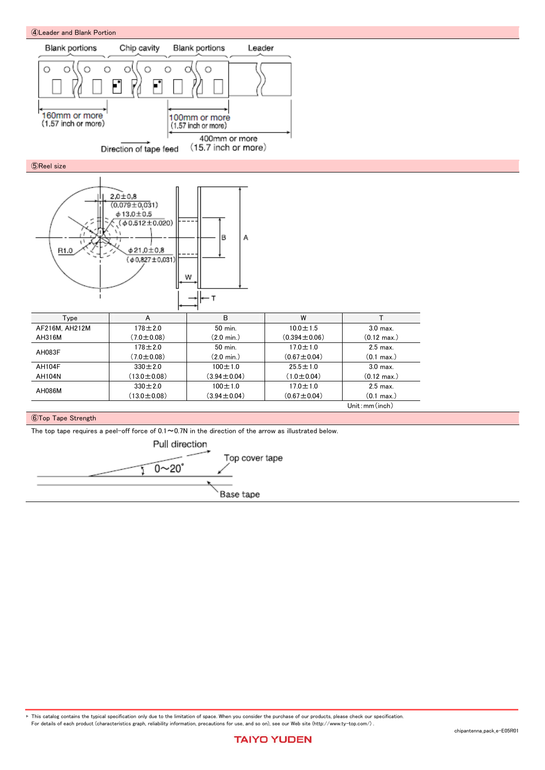

▶ This catalog contains the typical specification only due to the limitation of space. When you consider the purchase of our products, please check our specification. For details of each product (characteristics graph, reliability information, precautions for use, and so on), see our Web site (http://www.ty-top.com/) .

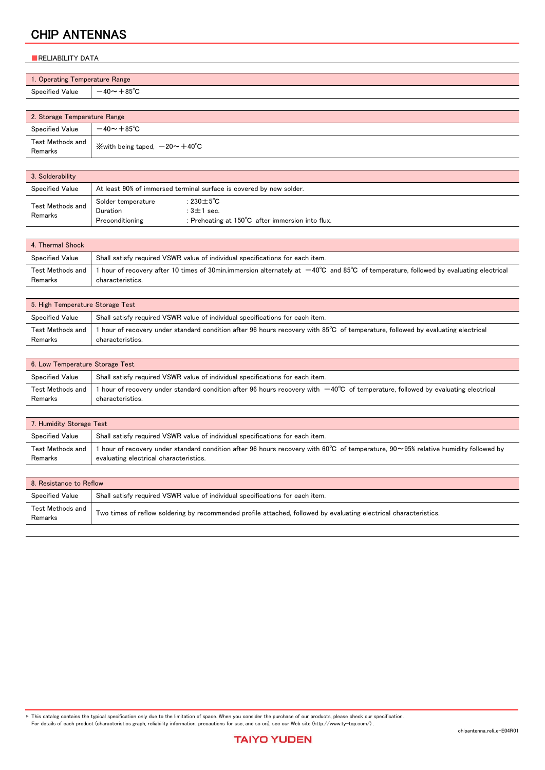### ■RELIABILITY DATA

| 1. Operating Temperature Range |                   |  |
|--------------------------------|-------------------|--|
| Specified Value                | $-40 \sim +85$ °C |  |
|                                |                   |  |

| 2. Storage Temperature Range |                                                                                    |
|------------------------------|------------------------------------------------------------------------------------|
| Specified Value              | $-40 \sim +85$ °C                                                                  |
| Test Methods and<br>Remarks  | $\hspace{0.1cm}\mathbb{X}$ with being taped, $-20\mathtt{\sim}+40^\circ\mathsf{C}$ |

| 3. Solderability            |                                                                     |                                                                                                              |  |
|-----------------------------|---------------------------------------------------------------------|--------------------------------------------------------------------------------------------------------------|--|
| Specified Value             | At least 90% of immersed terminal surface is covered by new solder. |                                                                                                              |  |
| Test Methods and<br>Remarks | Solder temperature<br>Duration<br>Preconditioning                   | : 230 $\pm$ 5 $^{\circ}$ C<br>: $3 \pm 1$ sec.<br>: Preheating at $150^{\circ}$ C after immersion into flux. |  |

| 4. Thermal Shock            |                                                                                                                                                                               |
|-----------------------------|-------------------------------------------------------------------------------------------------------------------------------------------------------------------------------|
| <b>Specified Value</b>      | Shall satisfy required VSWR value of individual specifications for each item.                                                                                                 |
| Test Methods and<br>Remarks | hour of recovery after 10 times of 30min.immersion alternately at $-40^{\circ}$ C and 85 <sup>°</sup> C of temperature, followed by evaluating electrical<br>characteristics. |

| 5. High Temperature Storage Test |                                                                                                                                                   |  |
|----------------------------------|---------------------------------------------------------------------------------------------------------------------------------------------------|--|
| <b>Specified Value</b>           | Shall satisfy required VSWR value of individual specifications for each item.                                                                     |  |
| Test Methods and<br>Remarks      | hour of recovery under standard condition after 96 hours recovery with 85°C of temperature, followed by evaluating electrical<br>characteristics. |  |

| 6. Low Temperature Storage Test |                                                                                                                                                              |  |
|---------------------------------|--------------------------------------------------------------------------------------------------------------------------------------------------------------|--|
| Specified Value                 | Shall satisfy required VSWR value of individual specifications for each item.                                                                                |  |
| Test Methods and                | $^{\rm th}$ hour of recovery under standard condition after 96 hours recovery with $-40^{\circ}\textrm{C}$ of temperature, followed by evaluating electrical |  |
| Remarks                         | characteristics.                                                                                                                                             |  |

| 7. Humidity Storage Test    |                                                                                                                                                                                                  |  |
|-----------------------------|--------------------------------------------------------------------------------------------------------------------------------------------------------------------------------------------------|--|
| <b>Specified Value</b>      | Shall satisfy required VSWR value of individual specifications for each item.                                                                                                                    |  |
| Test Methods and<br>Remarks | $\,$ hour of recovery under standard condition after 96 hours recovery with 60°C $\,$ of temperature, 90 $\sim$ 95% relative humidity followed by $\,$<br>evaluating electrical characteristics. |  |

| 8. Resistance to Reflow     |                                                                                                                   |  |
|-----------------------------|-------------------------------------------------------------------------------------------------------------------|--|
| Specified Value             | Shall satisfy required VSWR value of individual specifications for each item.                                     |  |
| Test Methods and<br>Remarks | Two times of reflow soldering by recommended profile attached, followed by evaluating electrical characteristics. |  |

Fhis catalog contains the typical specification only due to the limitation of space. When you consider the purchase of our products, please check our specification.<br>For details of each product (characteristics graph, reli

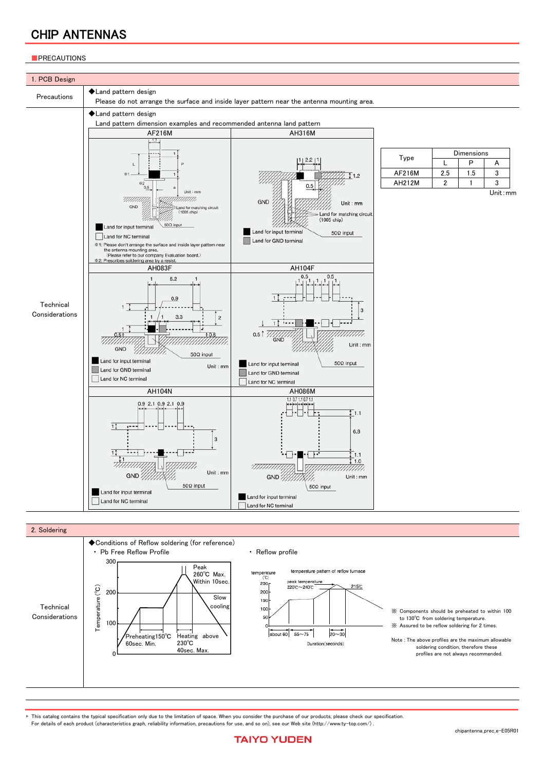### **PRECAUTIONS**





This catalog contains the typical specification only due to the limitation of space. When you consider the purchase of our products, please check our specification. For details of each product (characteristics graph, reliability information, precautions for use, and so on), see our Web site (http://www.ty-top.com/) .

### chipantenna\_prec\_e-E05R01

**TAIYO YUDEN**